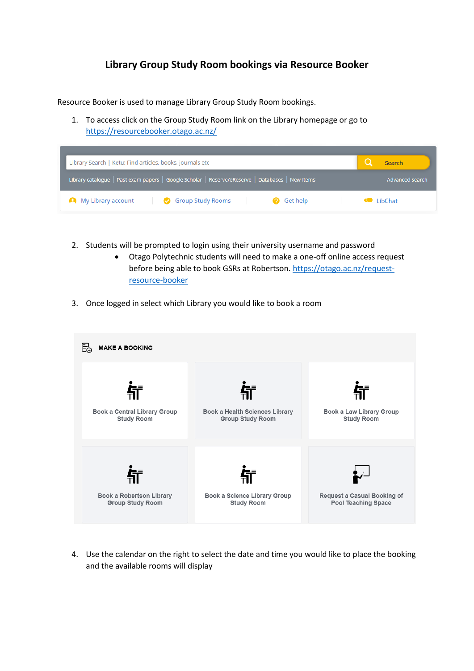## **Library Group Study Room bookings via Resource Booker**

Resource Booker is used to manage Library Group Study Room bookings.

1. To access click on the Group Study Room link on the Library homepage or go to <https://resourcebooker.otago.ac.nz/>

| Library Search   Ketu: Find articles, books, journals etc                                        | Search                 |
|--------------------------------------------------------------------------------------------------|------------------------|
| Library catalogue   Past exam papers   Google Scholar   Reserve/eReserve   Databases   New items | Advanced search        |
| Group Study Rooms<br>My Library account<br><b>O</b> Get help                                     | $\blacksquare$ LibChat |

- 2. Students will be prompted to login using their university username and password
	- Otago Polytechnic students will need to make a one-off online access request before being able to book GSRs at Robertson[. https://otago.ac.nz/request](https://otago.ac.nz/request-resource-booker)[resource-booker](https://otago.ac.nz/request-resource-booker)
- 3. Once logged in select which Library you would like to book a room



4. Use the calendar on the right to select the date and time you would like to place the booking and the available rooms will display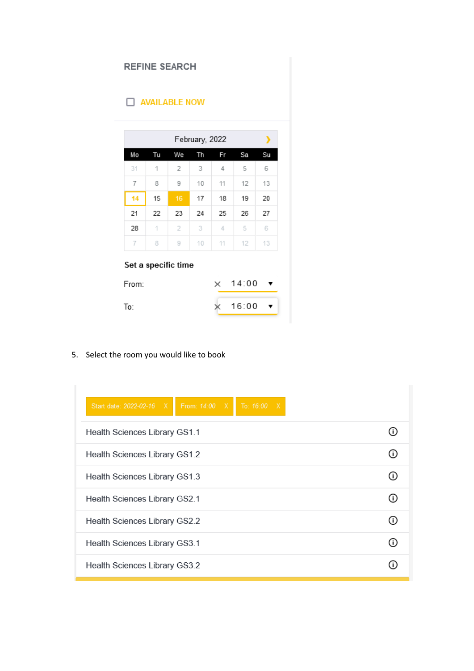| <b>REFINE SEARCH</b> |                     |    |    |    |                |    |
|----------------------|---------------------|----|----|----|----------------|----|
| $\Box$ AVAILABLE NOW |                     |    |    |    |                |    |
| February, 2022<br>,  |                     |    |    |    |                |    |
| Mo                   | Tu                  | We | Th | Fr | Sa             | Su |
| 31                   | 1                   | 2  | 3  | 4  | 5              | 6  |
| 7                    | 8                   | 9  | 10 | 11 | 12             | 13 |
| 14                   | 15                  | 16 | 17 | 18 | 19             | 20 |
| 21                   | 22                  | 23 | 24 | 25 | 26             | 27 |
| 28                   | 1                   | 2  | 3. | 4  | 5              | 6  |
| 7                    | 8                   | 9  | 10 | 11 | 12             | 13 |
| From:                | Set a specific time |    |    |    | $\times$ 14:00 |    |

5. Select the room you would like to book

| From: 14:00 X<br>To: 16:00 X<br>Start date: 2022-02-16 X |  |
|----------------------------------------------------------|--|
| <b>Health Sciences Library GS1.1</b>                     |  |
| Health Sciences Library GS1.2                            |  |
| Health Sciences Library GS1.3                            |  |
| <b>Health Sciences Library GS2.1</b>                     |  |
| Health Sciences Library GS2.2                            |  |
| Health Sciences Library GS3.1                            |  |
| Health Sciences Library GS3.2                            |  |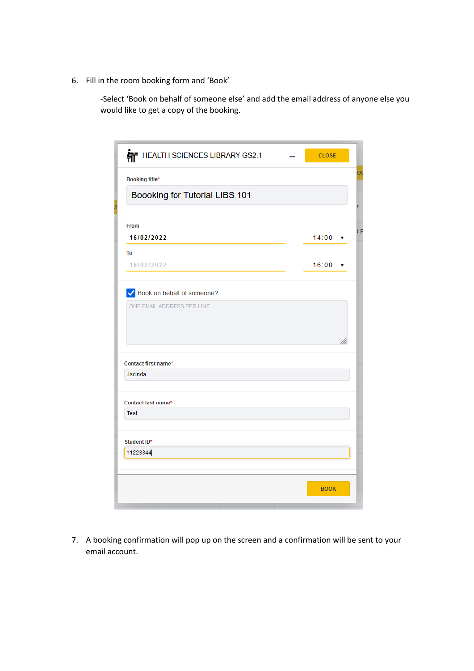6. Fill in the room booking form and 'Book'

-Select 'Book on behalf of someone else' and add the email address of anyone else you would like to get a copy of the booking.

| HEALTH SCIENCES LIBRARY GS2.1  | <b>CLOSE</b>   |  |
|--------------------------------|----------------|--|
| Booking title*                 |                |  |
| Boooking for Tutorial LIBS 101 |                |  |
| From                           |                |  |
| 16/02/2022                     | $14:00 \times$ |  |
| To                             |                |  |
| 16/02/2022                     | 16:00          |  |
| Book on behalf of someone?     |                |  |
| ONE EMAIL ADDRESS PER LINE     |                |  |
|                                |                |  |
|                                |                |  |
|                                |                |  |
| Contact first name*            |                |  |
| Jacinda                        |                |  |
|                                |                |  |
| Contact last name*             |                |  |
| <b>Test</b>                    |                |  |
|                                |                |  |
| Student ID*                    |                |  |
| 11223344                       |                |  |
|                                |                |  |
|                                | <b>BOOK</b>    |  |
|                                |                |  |

7. A booking confirmation will pop up on the screen and a confirmation will be sent to your email account.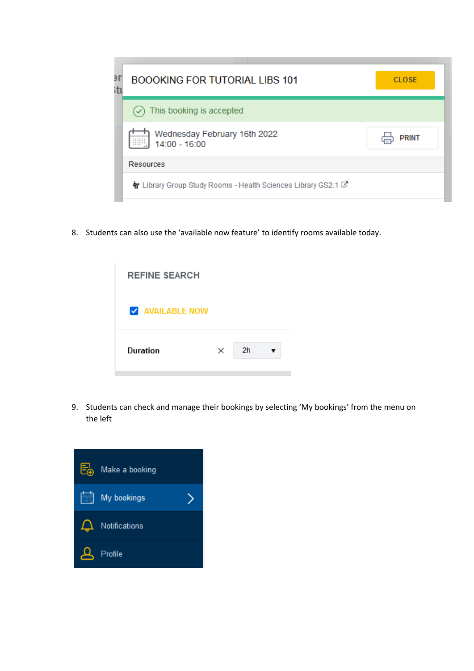| Э<br>itı | <b>BOOOKING FOR TUTORIAL LIBS 101</b>                           | <b>CLOSE</b> |
|----------|-----------------------------------------------------------------|--------------|
|          | $(\checkmark)$ This booking is accepted                         |              |
|          | Wednesday February 16th 2022<br>iiiiii,<br>$14:00 - 16:00$      | <b>PRINT</b> |
|          | <b>Resources</b>                                                |              |
|          | The Library Group Study Rooms - Health Sciences Library GS2.1 C |              |

8. Students can also use the 'available now feature' to identify rooms available today.



9. Students can check and manage their bookings by selecting 'My bookings' from the menu on the left